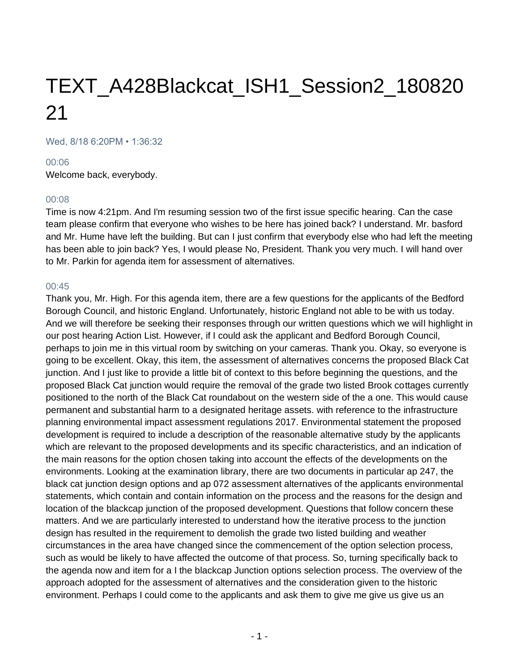# TEXT\_A428Blackcat\_ISH1\_Session2\_180820 21

Wed, 8/18 6:20PM • 1:36:32

#### 00:06

Welcome back, everybody.

## 00:08

Time is now 4:21pm. And I'm resuming session two of the first issue specific hearing. Can the case team please confirm that everyone who wishes to be here has joined back? I understand. Mr. basford and Mr. Hume have left the building. But can I just confirm that everybody else who had left the meeting has been able to join back? Yes, I would please No, President. Thank you very much. I will hand over to Mr. Parkin for agenda item for assessment of alternatives.

#### 00:45

Thank you, Mr. High. For this agenda item, there are a few questions for the applicants of the Bedford Borough Council, and historic England. Unfortunately, historic England not able to be with us today. And we will therefore be seeking their responses through our written questions which we will highlight in our post hearing Action List. However, if I could ask the applicant and Bedford Borough Council, perhaps to join me in this virtual room by switching on your cameras. Thank you. Okay, so everyone is going to be excellent. Okay, this item, the assessment of alternatives concerns the proposed Black Cat junction. And I just like to provide a little bit of context to this before beginning the questions, and the proposed Black Cat junction would require the removal of the grade two listed Brook cottages currently positioned to the north of the Black Cat roundabout on the western side of the a one. This would cause permanent and substantial harm to a designated heritage assets. with reference to the infrastructure planning environmental impact assessment regulations 2017. Environmental statement the proposed development is required to include a description of the reasonable alternative study by the applicants which are relevant to the proposed developments and its specific characteristics, and an indication of the main reasons for the option chosen taking into account the effects of the developments on the environments. Looking at the examination library, there are two documents in particular ap 247, the black cat junction design options and ap 072 assessment alternatives of the applicants environmental statements, which contain and contain information on the process and the reasons for the design and location of the blackcap junction of the proposed development. Questions that follow concern these matters. And we are particularly interested to understand how the iterative process to the junction design has resulted in the requirement to demolish the grade two listed building and weather circumstances in the area have changed since the commencement of the option selection process, such as would be likely to have affected the outcome of that process. So, turning specifically back to the agenda now and item for a I the blackcap Junction options selection process. The overview of the approach adopted for the assessment of alternatives and the consideration given to the historic environment. Perhaps I could come to the applicants and ask them to give me give us give us an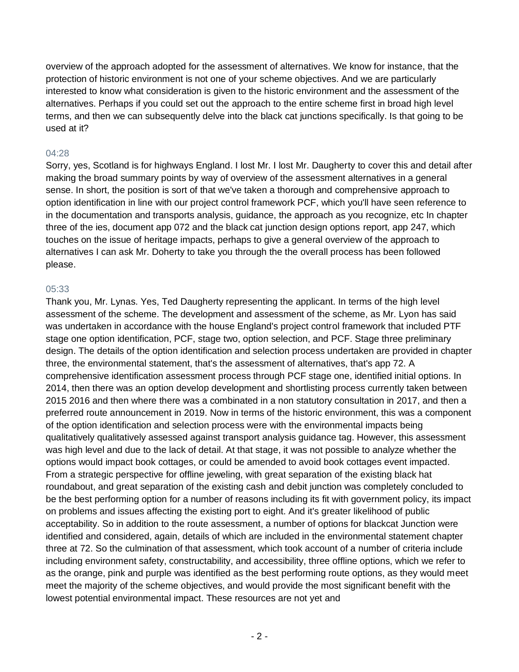overview of the approach adopted for the assessment of alternatives. We know for instance, that the protection of historic environment is not one of your scheme objectives. And we are particularly interested to know what consideration is given to the historic environment and the assessment of the alternatives. Perhaps if you could set out the approach to the entire scheme first in broad high level terms, and then we can subsequently delve into the black cat junctions specifically. Is that going to be used at it?

# 04:28

Sorry, yes, Scotland is for highways England. I lost Mr. I lost Mr. Daugherty to cover this and detail after making the broad summary points by way of overview of the assessment alternatives in a general sense. In short, the position is sort of that we've taken a thorough and comprehensive approach to option identification in line with our project control framework PCF, which you'll have seen reference to in the documentation and transports analysis, guidance, the approach as you recognize, etc In chapter three of the ies, document app 072 and the black cat junction design options report, app 247, which touches on the issue of heritage impacts, perhaps to give a general overview of the approach to alternatives I can ask Mr. Doherty to take you through the the overall process has been followed please.

# 05:33

Thank you, Mr. Lynas. Yes, Ted Daugherty representing the applicant. In terms of the high level assessment of the scheme. The development and assessment of the scheme, as Mr. Lyon has said was undertaken in accordance with the house England's project control framework that included PTF stage one option identification, PCF, stage two, option selection, and PCF. Stage three preliminary design. The details of the option identification and selection process undertaken are provided in chapter three, the environmental statement, that's the assessment of alternatives, that's app 72. A comprehensive identification assessment process through PCF stage one, identified initial options. In 2014, then there was an option develop development and shortlisting process currently taken between 2015 2016 and then where there was a combinated in a non statutory consultation in 2017, and then a preferred route announcement in 2019. Now in terms of the historic environment, this was a component of the option identification and selection process were with the environmental impacts being qualitatively qualitatively assessed against transport analysis guidance tag. However, this assessment was high level and due to the lack of detail. At that stage, it was not possible to analyze whether the options would impact book cottages, or could be amended to avoid book cottages event impacted. From a strategic perspective for offline jeweling, with great separation of the existing black hat roundabout, and great separation of the existing cash and debit junction was completely concluded to be the best performing option for a number of reasons including its fit with government policy, its impact on problems and issues affecting the existing port to eight. And it's greater likelihood of public acceptability. So in addition to the route assessment, a number of options for blackcat Junction were identified and considered, again, details of which are included in the environmental statement chapter three at 72. So the culmination of that assessment, which took account of a number of criteria include including environment safety, constructability, and accessibility, three offline options, which we refer to as the orange, pink and purple was identified as the best performing route options, as they would meet meet the majority of the scheme objectives, and would provide the most significant benefit with the lowest potential environmental impact. These resources are not yet and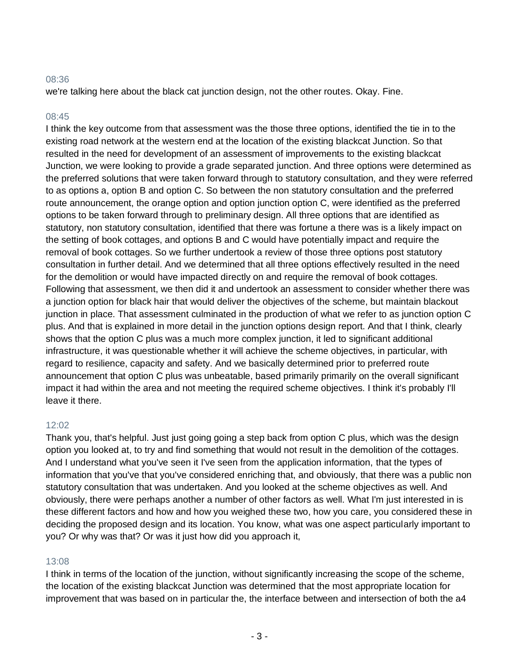# 08:36

we're talking here about the black cat junction design, not the other routes. Okay. Fine.

## 08:45

I think the key outcome from that assessment was the those three options, identified the tie in to the existing road network at the western end at the location of the existing blackcat Junction. So that resulted in the need for development of an assessment of improvements to the existing blackcat Junction, we were looking to provide a grade separated junction. And three options were determined as the preferred solutions that were taken forward through to statutory consultation, and they were referred to as options a, option B and option C. So between the non statutory consultation and the preferred route announcement, the orange option and option junction option C, were identified as the preferred options to be taken forward through to preliminary design. All three options that are identified as statutory, non statutory consultation, identified that there was fortune a there was is a likely impact on the setting of book cottages, and options B and C would have potentially impact and require the removal of book cottages. So we further undertook a review of those three options post statutory consultation in further detail. And we determined that all three options effectively resulted in the need for the demolition or would have impacted directly on and require the removal of book cottages. Following that assessment, we then did it and undertook an assessment to consider whether there was a junction option for black hair that would deliver the objectives of the scheme, but maintain blackout junction in place. That assessment culminated in the production of what we refer to as junction option C plus. And that is explained in more detail in the junction options design report. And that I think, clearly shows that the option C plus was a much more complex junction, it led to significant additional infrastructure, it was questionable whether it will achieve the scheme objectives, in particular, with regard to resilience, capacity and safety. And we basically determined prior to preferred route announcement that option C plus was unbeatable, based primarily primarily on the overall significant impact it had within the area and not meeting the required scheme objectives. I think it's probably I'll leave it there.

# 12:02

Thank you, that's helpful. Just just going going a step back from option C plus, which was the design option you looked at, to try and find something that would not result in the demolition of the cottages. And I understand what you've seen it I've seen from the application information, that the types of information that you've that you've considered enriching that, and obviously, that there was a public non statutory consultation that was undertaken. And you looked at the scheme objectives as well. And obviously, there were perhaps another a number of other factors as well. What I'm just interested in is these different factors and how and how you weighed these two, how you care, you considered these in deciding the proposed design and its location. You know, what was one aspect particularly important to you? Or why was that? Or was it just how did you approach it,

# 13:08

I think in terms of the location of the junction, without significantly increasing the scope of the scheme, the location of the existing blackcat Junction was determined that the most appropriate location for improvement that was based on in particular the, the interface between and intersection of both the a4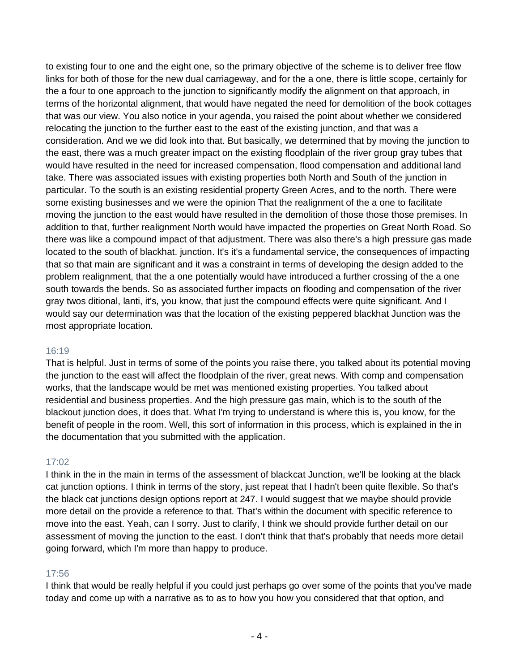to existing four to one and the eight one, so the primary objective of the scheme is to deliver free flow links for both of those for the new dual carriageway, and for the a one, there is little scope, certainly for the a four to one approach to the junction to significantly modify the alignment on that approach, in terms of the horizontal alignment, that would have negated the need for demolition of the book cottages that was our view. You also notice in your agenda, you raised the point about whether we considered relocating the junction to the further east to the east of the existing junction, and that was a consideration. And we we did look into that. But basically, we determined that by moving the junction to the east, there was a much greater impact on the existing floodplain of the river group gray tubes that would have resulted in the need for increased compensation, flood compensation and additional land take. There was associated issues with existing properties both North and South of the junction in particular. To the south is an existing residential property Green Acres, and to the north. There were some existing businesses and we were the opinion That the realignment of the a one to facilitate moving the junction to the east would have resulted in the demolition of those those those premises. In addition to that, further realignment North would have impacted the properties on Great North Road. So there was like a compound impact of that adjustment. There was also there's a high pressure gas made located to the south of blackhat. junction. It's it's a fundamental service, the consequences of impacting that so that main are significant and it was a constraint in terms of developing the design added to the problem realignment, that the a one potentially would have introduced a further crossing of the a one south towards the bends. So as associated further impacts on flooding and compensation of the river gray twos ditional, lanti, it's, you know, that just the compound effects were quite significant. And I would say our determination was that the location of the existing peppered blackhat Junction was the most appropriate location.

# 16:19

That is helpful. Just in terms of some of the points you raise there, you talked about its potential moving the junction to the east will affect the floodplain of the river, great news. With comp and compensation works, that the landscape would be met was mentioned existing properties. You talked about residential and business properties. And the high pressure gas main, which is to the south of the blackout junction does, it does that. What I'm trying to understand is where this is, you know, for the benefit of people in the room. Well, this sort of information in this process, which is explained in the in the documentation that you submitted with the application.

# 17:02

I think in the in the main in terms of the assessment of blackcat Junction, we'll be looking at the black cat junction options. I think in terms of the story, just repeat that I hadn't been quite flexible. So that's the black cat junctions design options report at 247. I would suggest that we maybe should provide more detail on the provide a reference to that. That's within the document with specific reference to move into the east. Yeah, can I sorry. Just to clarify, I think we should provide further detail on our assessment of moving the junction to the east. I don't think that that's probably that needs more detail going forward, which I'm more than happy to produce.

# 17:56

I think that would be really helpful if you could just perhaps go over some of the points that you've made today and come up with a narrative as to as to how you how you considered that that option, and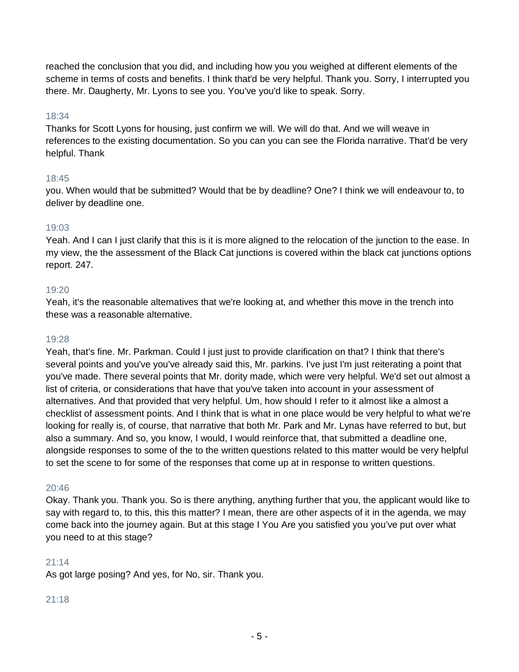reached the conclusion that you did, and including how you you weighed at different elements of the scheme in terms of costs and benefits. I think that'd be very helpful. Thank you. Sorry, I interrupted you there. Mr. Daugherty, Mr. Lyons to see you. You've you'd like to speak. Sorry.

# 18:34

Thanks for Scott Lyons for housing, just confirm we will. We will do that. And we will weave in references to the existing documentation. So you can you can see the Florida narrative. That'd be very helpful. Thank

# 18:45

you. When would that be submitted? Would that be by deadline? One? I think we will endeavour to, to deliver by deadline one.

# 19:03

Yeah. And I can I just clarify that this is it is more aligned to the relocation of the junction to the ease. In my view, the the assessment of the Black Cat junctions is covered within the black cat junctions options report. 247.

# 19:20

Yeah, it's the reasonable alternatives that we're looking at, and whether this move in the trench into these was a reasonable alternative.

## 19:28

Yeah, that's fine. Mr. Parkman. Could I just just to provide clarification on that? I think that there's several points and you've you've already said this, Mr. parkins. I've just I'm just reiterating a point that you've made. There several points that Mr. dority made, which were very helpful. We'd set out almost a list of criteria, or considerations that have that you've taken into account in your assessment of alternatives. And that provided that very helpful. Um, how should I refer to it almost like a almost a checklist of assessment points. And I think that is what in one place would be very helpful to what we're looking for really is, of course, that narrative that both Mr. Park and Mr. Lynas have referred to but, but also a summary. And so, you know, I would, I would reinforce that, that submitted a deadline one, alongside responses to some of the to the written questions related to this matter would be very helpful to set the scene to for some of the responses that come up at in response to written questions.

# 20:46

Okay. Thank you. Thank you. So is there anything, anything further that you, the applicant would like to say with regard to, to this, this this matter? I mean, there are other aspects of it in the agenda, we may come back into the journey again. But at this stage I You Are you satisfied you you've put over what you need to at this stage?

# $21:14$

As got large posing? And yes, for No, sir. Thank you.

# 21:18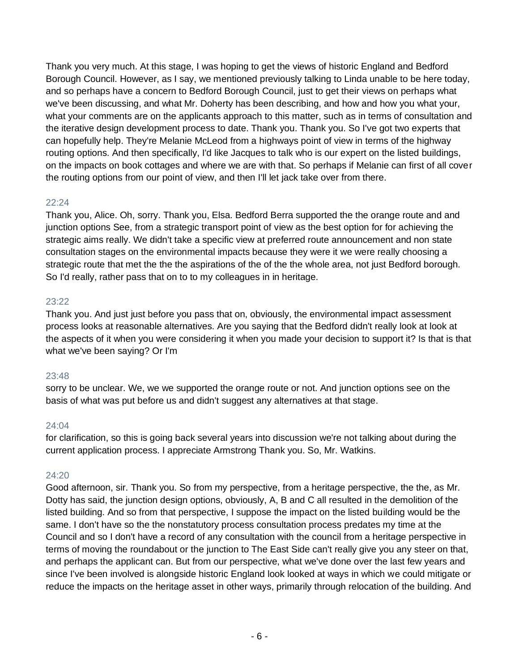Thank you very much. At this stage, I was hoping to get the views of historic England and Bedford Borough Council. However, as I say, we mentioned previously talking to Linda unable to be here today, and so perhaps have a concern to Bedford Borough Council, just to get their views on perhaps what we've been discussing, and what Mr. Doherty has been describing, and how and how you what your, what your comments are on the applicants approach to this matter, such as in terms of consultation and the iterative design development process to date. Thank you. Thank you. So I've got two experts that can hopefully help. They're Melanie McLeod from a highways point of view in terms of the highway routing options. And then specifically, I'd like Jacques to talk who is our expert on the listed buildings, on the impacts on book cottages and where we are with that. So perhaps if Melanie can first of all cover the routing options from our point of view, and then I'll let jack take over from there.

# 22:24

Thank you, Alice. Oh, sorry. Thank you, Elsa. Bedford Berra supported the the orange route and and junction options See, from a strategic transport point of view as the best option for for achieving the strategic aims really. We didn't take a specific view at preferred route announcement and non state consultation stages on the environmental impacts because they were it we were really choosing a strategic route that met the the the aspirations of the of the the whole area, not just Bedford borough. So I'd really, rather pass that on to to my colleagues in in heritage.

# 23:22

Thank you. And just just before you pass that on, obviously, the environmental impact assessment process looks at reasonable alternatives. Are you saying that the Bedford didn't really look at look at the aspects of it when you were considering it when you made your decision to support it? Is that is that what we've been saying? Or I'm

# 23:48

sorry to be unclear. We, we we supported the orange route or not. And junction options see on the basis of what was put before us and didn't suggest any alternatives at that stage.

## 24:04

for clarification, so this is going back several years into discussion we're not talking about during the current application process. I appreciate Armstrong Thank you. So, Mr. Watkins.

# 24:20

Good afternoon, sir. Thank you. So from my perspective, from a heritage perspective, the the, as Mr. Dotty has said, the junction design options, obviously, A, B and C all resulted in the demolition of the listed building. And so from that perspective, I suppose the impact on the listed building would be the same. I don't have so the the nonstatutory process consultation process predates my time at the Council and so I don't have a record of any consultation with the council from a heritage perspective in terms of moving the roundabout or the junction to The East Side can't really give you any steer on that, and perhaps the applicant can. But from our perspective, what we've done over the last few years and since I've been involved is alongside historic England look looked at ways in which we could mitigate or reduce the impacts on the heritage asset in other ways, primarily through relocation of the building. And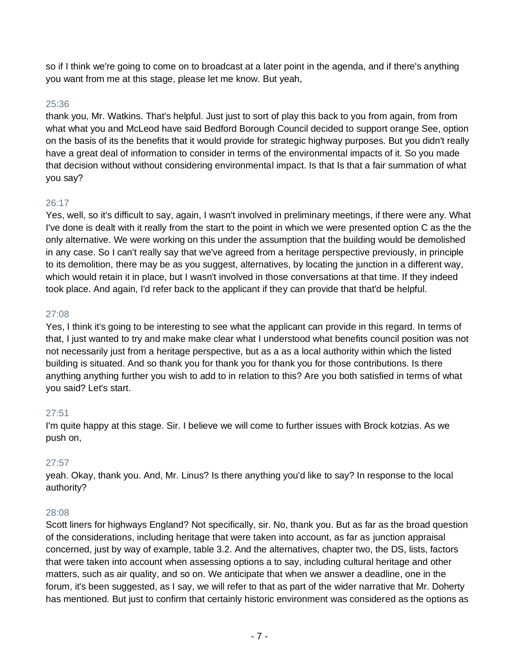so if I think we're going to come on to broadcast at a later point in the agenda, and if there's anything you want from me at this stage, please let me know. But yeah,

# 25:36

thank you, Mr. Watkins. That's helpful. Just just to sort of play this back to you from again, from from what what you and McLeod have said Bedford Borough Council decided to support orange See, option on the basis of its the benefits that it would provide for strategic highway purposes. But you didn't really have a great deal of information to consider in terms of the environmental impacts of it. So you made that decision without without considering environmental impact. Is that Is that a fair summation of what you say?

# 26:17

Yes, well, so it's difficult to say, again, I wasn't involved in preliminary meetings, if there were any. What I've done is dealt with it really from the start to the point in which we were presented option C as the the only alternative. We were working on this under the assumption that the building would be demolished in any case. So I can't really say that we've agreed from a heritage perspective previously, in principle to its demolition, there may be as you suggest, alternatives, by locating the junction in a different way, which would retain it in place, but I wasn't involved in those conversations at that time. If they indeed took place. And again, I'd refer back to the applicant if they can provide that that'd be helpful.

# 27:08

Yes, I think it's going to be interesting to see what the applicant can provide in this regard. In terms of that, I just wanted to try and make make clear what I understood what benefits council position was not not necessarily just from a heritage perspective, but as a as a local authority within which the listed building is situated. And so thank you for thank you for thank you for those contributions. Is there anything anything further you wish to add to in relation to this? Are you both satisfied in terms of what you said? Let's start.

# 27:51

I'm quite happy at this stage. Sir. I believe we will come to further issues with Brock kotzias. As we push on,

# 27:57

yeah. Okay, thank you. And, Mr. Linus? Is there anything you'd like to say? In response to the local authority?

# 28:08

Scott liners for highways England? Not specifically, sir. No, thank you. But as far as the broad question of the considerations, including heritage that were taken into account, as far as junction appraisal concerned, just by way of example, table 3.2. And the alternatives, chapter two, the DS, lists, factors that were taken into account when assessing options a to say, including cultural heritage and other matters, such as air quality, and so on. We anticipate that when we answer a deadline, one in the forum, it's been suggested, as I say, we will refer to that as part of the wider narrative that Mr. Doherty has mentioned. But just to confirm that certainly historic environment was considered as the options as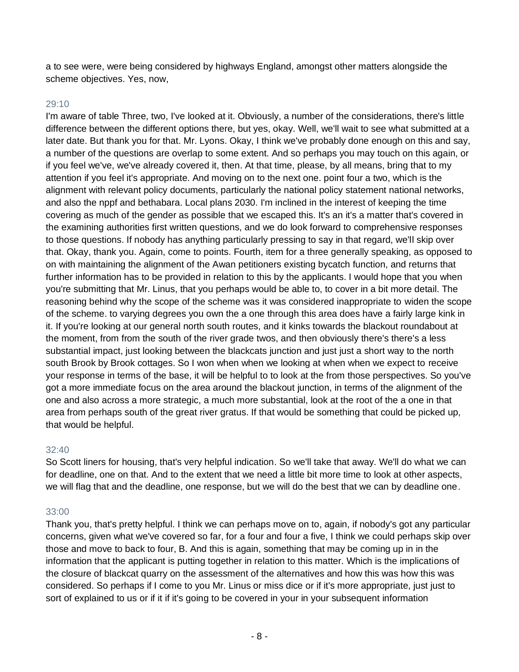a to see were, were being considered by highways England, amongst other matters alongside the scheme objectives. Yes, now,

## 29:10

I'm aware of table Three, two, I've looked at it. Obviously, a number of the considerations, there's little difference between the different options there, but yes, okay. Well, we'll wait to see what submitted at a later date. But thank you for that. Mr. Lyons. Okay, I think we've probably done enough on this and say, a number of the questions are overlap to some extent. And so perhaps you may touch on this again, or if you feel we've, we've already covered it, then. At that time, please, by all means, bring that to my attention if you feel it's appropriate. And moving on to the next one. point four a two, which is the alignment with relevant policy documents, particularly the national policy statement national networks, and also the nppf and bethabara. Local plans 2030. I'm inclined in the interest of keeping the time covering as much of the gender as possible that we escaped this. It's an it's a matter that's covered in the examining authorities first written questions, and we do look forward to comprehensive responses to those questions. If nobody has anything particularly pressing to say in that regard, we'll skip over that. Okay, thank you. Again, come to points. Fourth, item for a three generally speaking, as opposed to on with maintaining the alignment of the Awan petitioners existing bycatch function, and returns that further information has to be provided in relation to this by the applicants. I would hope that you when you're submitting that Mr. Linus, that you perhaps would be able to, to cover in a bit more detail. The reasoning behind why the scope of the scheme was it was considered inappropriate to widen the scope of the scheme. to varying degrees you own the a one through this area does have a fairly large kink in it. If you're looking at our general north south routes, and it kinks towards the blackout roundabout at the moment, from from the south of the river grade twos, and then obviously there's there's a less substantial impact, just looking between the blackcats junction and just just a short way to the north south Brook by Brook cottages. So I won when when we looking at when when we expect to receive your response in terms of the base, it will be helpful to to look at the from those perspectives. So you've got a more immediate focus on the area around the blackout junction, in terms of the alignment of the one and also across a more strategic, a much more substantial, look at the root of the a one in that area from perhaps south of the great river gratus. If that would be something that could be picked up, that would be helpful.

## 32:40

So Scott liners for housing, that's very helpful indication. So we'll take that away. We'll do what we can for deadline, one on that. And to the extent that we need a little bit more time to look at other aspects, we will flag that and the deadline, one response, but we will do the best that we can by deadline one.

## 33:00

Thank you, that's pretty helpful. I think we can perhaps move on to, again, if nobody's got any particular concerns, given what we've covered so far, for a four and four a five, I think we could perhaps skip over those and move to back to four, B. And this is again, something that may be coming up in in the information that the applicant is putting together in relation to this matter. Which is the implications of the closure of blackcat quarry on the assessment of the alternatives and how this was how this was considered. So perhaps if I come to you Mr. Linus or miss dice or if it's more appropriate, just just to sort of explained to us or if it if it's going to be covered in your in your subsequent information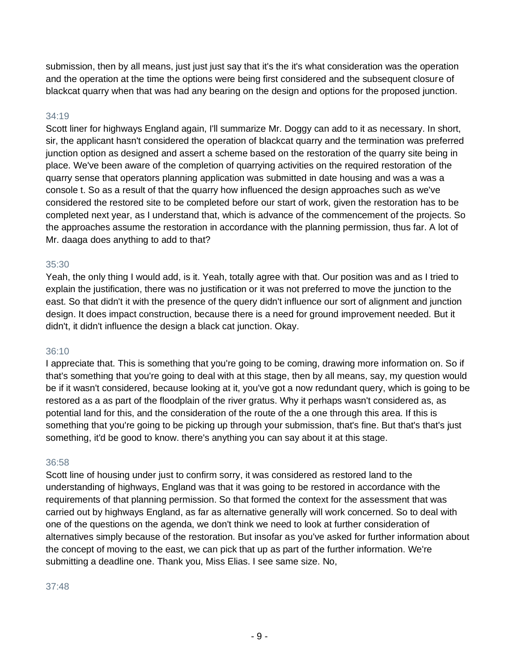submission, then by all means, just just just say that it's the it's what consideration was the operation and the operation at the time the options were being first considered and the subsequent closure of blackcat quarry when that was had any bearing on the design and options for the proposed junction.

# 34:19

Scott liner for highways England again, I'll summarize Mr. Doggy can add to it as necessary. In short, sir, the applicant hasn't considered the operation of blackcat quarry and the termination was preferred junction option as designed and assert a scheme based on the restoration of the quarry site being in place. We've been aware of the completion of quarrying activities on the required restoration of the quarry sense that operators planning application was submitted in date housing and was a was a console t. So as a result of that the quarry how influenced the design approaches such as we've considered the restored site to be completed before our start of work, given the restoration has to be completed next year, as I understand that, which is advance of the commencement of the projects. So the approaches assume the restoration in accordance with the planning permission, thus far. A lot of Mr. daaga does anything to add to that?

## 35:30

Yeah, the only thing I would add, is it. Yeah, totally agree with that. Our position was and as I tried to explain the justification, there was no justification or it was not preferred to move the junction to the east. So that didn't it with the presence of the query didn't influence our sort of alignment and junction design. It does impact construction, because there is a need for ground improvement needed. But it didn't, it didn't influence the design a black cat junction. Okay.

## 36:10

I appreciate that. This is something that you're going to be coming, drawing more information on. So if that's something that you're going to deal with at this stage, then by all means, say, my question would be if it wasn't considered, because looking at it, you've got a now redundant query, which is going to be restored as a as part of the floodplain of the river gratus. Why it perhaps wasn't considered as, as potential land for this, and the consideration of the route of the a one through this area. If this is something that you're going to be picking up through your submission, that's fine. But that's that's just something, it'd be good to know. there's anything you can say about it at this stage.

## 36:58

Scott line of housing under just to confirm sorry, it was considered as restored land to the understanding of highways, England was that it was going to be restored in accordance with the requirements of that planning permission. So that formed the context for the assessment that was carried out by highways England, as far as alternative generally will work concerned. So to deal with one of the questions on the agenda, we don't think we need to look at further consideration of alternatives simply because of the restoration. But insofar as you've asked for further information about the concept of moving to the east, we can pick that up as part of the further information. We're submitting a deadline one. Thank you, Miss Elias. I see same size. No,

## 37:48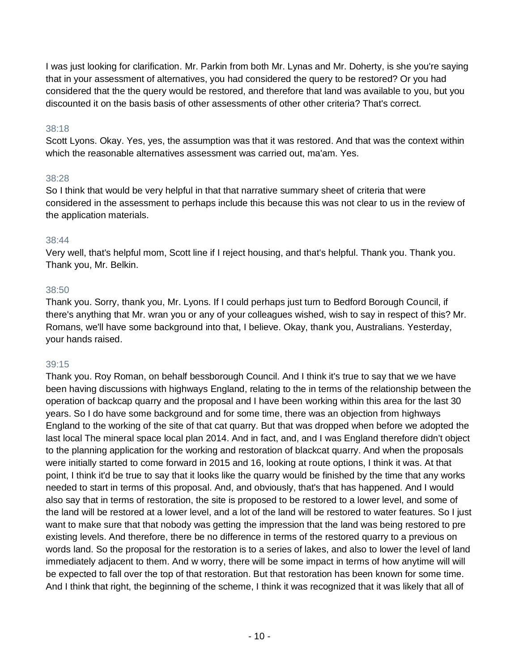I was just looking for clarification. Mr. Parkin from both Mr. Lynas and Mr. Doherty, is she you're saying that in your assessment of alternatives, you had considered the query to be restored? Or you had considered that the the query would be restored, and therefore that land was available to you, but you discounted it on the basis basis of other assessments of other other criteria? That's correct.

# 38:18

Scott Lyons. Okay. Yes, yes, the assumption was that it was restored. And that was the context within which the reasonable alternatives assessment was carried out, ma'am. Yes.

## 38:28

So I think that would be very helpful in that that narrative summary sheet of criteria that were considered in the assessment to perhaps include this because this was not clear to us in the review of the application materials.

# 38:44

Very well, that's helpful mom, Scott line if I reject housing, and that's helpful. Thank you. Thank you. Thank you, Mr. Belkin.

# 38:50

Thank you. Sorry, thank you, Mr. Lyons. If I could perhaps just turn to Bedford Borough Council, if there's anything that Mr. wran you or any of your colleagues wished, wish to say in respect of this? Mr. Romans, we'll have some background into that, I believe. Okay, thank you, Australians. Yesterday, your hands raised.

# 39:15

Thank you. Roy Roman, on behalf bessborough Council. And I think it's true to say that we we have been having discussions with highways England, relating to the in terms of the relationship between the operation of backcap quarry and the proposal and I have been working within this area for the last 30 years. So I do have some background and for some time, there was an objection from highways England to the working of the site of that cat quarry. But that was dropped when before we adopted the last local The mineral space local plan 2014. And in fact, and, and I was England therefore didn't object to the planning application for the working and restoration of blackcat quarry. And when the proposals were initially started to come forward in 2015 and 16, looking at route options, I think it was. At that point, I think it'd be true to say that it looks like the quarry would be finished by the time that any works needed to start in terms of this proposal. And, and obviously, that's that has happened. And I would also say that in terms of restoration, the site is proposed to be restored to a lower level, and some of the land will be restored at a lower level, and a lot of the land will be restored to water features. So I just want to make sure that that nobody was getting the impression that the land was being restored to pre existing levels. And therefore, there be no difference in terms of the restored quarry to a previous on words land. So the proposal for the restoration is to a series of lakes, and also to lower the level of land immediately adjacent to them. And w worry, there will be some impact in terms of how anytime will will be expected to fall over the top of that restoration. But that restoration has been known for some time. And I think that right, the beginning of the scheme, I think it was recognized that it was likely that all of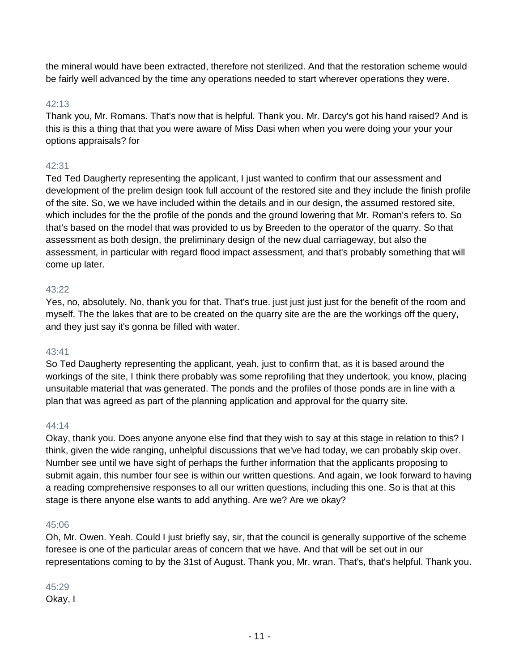the mineral would have been extracted, therefore not sterilized. And that the restoration scheme would be fairly well advanced by the time any operations needed to start wherever operations they were.

## 42:13

Thank you, Mr. Romans. That's now that is helpful. Thank you. Mr. Darcy's got his hand raised? And is this is this a thing that that you were aware of Miss Dasi when when you were doing your your your options appraisals? for

# 42:31

Ted Ted Daugherty representing the applicant, I just wanted to confirm that our assessment and development of the prelim design took full account of the restored site and they include the finish profile of the site. So, we we have included within the details and in our design, the assumed restored site, which includes for the the profile of the ponds and the ground lowering that Mr. Roman's refers to. So that's based on the model that was provided to us by Breeden to the operator of the quarry. So that assessment as both design, the preliminary design of the new dual carriageway, but also the assessment, in particular with regard flood impact assessment, and that's probably something that will come up later.

## 43:22

Yes, no, absolutely. No, thank you for that. That's true. just just just just for the benefit of the room and myself. The the lakes that are to be created on the quarry site are the are the workings off the query, and they just say it's gonna be filled with water.

## 43:41

So Ted Daugherty representing the applicant, yeah, just to confirm that, as it is based around the workings of the site, I think there probably was some reprofiling that they undertook, you know, placing unsuitable material that was generated. The ponds and the profiles of those ponds are in line with a plan that was agreed as part of the planning application and approval for the quarry site.

## 44:14

Okay, thank you. Does anyone anyone else find that they wish to say at this stage in relation to this? I think, given the wide ranging, unhelpful discussions that we've had today, we can probably skip over. Number see until we have sight of perhaps the further information that the applicants proposing to submit again, this number four see is within our written questions. And again, we look forward to having a reading comprehensive responses to all our written questions, including this one. So is that at this stage is there anyone else wants to add anything. Are we? Are we okay?

## 45:06

Oh, Mr. Owen. Yeah. Could I just briefly say, sir, that the council is generally supportive of the scheme foresee is one of the particular areas of concern that we have. And that will be set out in our representations coming to by the 31st of August. Thank you, Mr. wran. That's, that's helpful. Thank you.

#### 45:29

Okay, I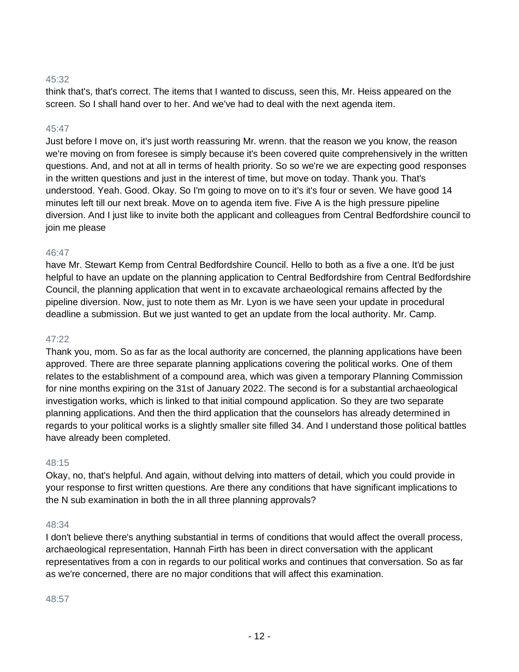# 45:32

think that's, that's correct. The items that I wanted to discuss, seen this, Mr. Heiss appeared on the screen. So I shall hand over to her. And we've had to deal with the next agenda item.

## 45:47

Just before I move on, it's just worth reassuring Mr. wrenn. that the reason we you know, the reason we're moving on from foresee is simply because it's been covered quite comprehensively in the written questions. And, and not at all in terms of health priority. So so we're we are expecting good responses in the written questions and just in the interest of time, but move on today. Thank you. That's understood. Yeah. Good. Okay. So I'm going to move on to it's it's four or seven. We have good 14 minutes left till our next break. Move on to agenda item five. Five A is the high pressure pipeline diversion. And I just like to invite both the applicant and colleagues from Central Bedfordshire council to join me please

#### 46:47

have Mr. Stewart Kemp from Central Bedfordshire Council. Hello to both as a five a one. It'd be just helpful to have an update on the planning application to Central Bedfordshire from Central Bedfordshire Council, the planning application that went in to excavate archaeological remains affected by the pipeline diversion. Now, just to note them as Mr. Lyon is we have seen your update in procedural deadline a submission. But we just wanted to get an update from the local authority. Mr. Camp.

#### 47:22

Thank you, mom. So as far as the local authority are concerned, the planning applications have been approved. There are three separate planning applications covering the political works. One of them relates to the establishment of a compound area, which was given a temporary Planning Commission for nine months expiring on the 31st of January 2022. The second is for a substantial archaeological investigation works, which is linked to that initial compound application. So they are two separate planning applications. And then the third application that the counselors has already determined in regards to your political works is a slightly smaller site filled 34. And I understand those political battles have already been completed.

#### 48:15

Okay, no, that's helpful. And again, without delving into matters of detail, which you could provide in your response to first written questions. Are there any conditions that have significant implications to the N sub examination in both the in all three planning approvals?

#### 48:34

I don't believe there's anything substantial in terms of conditions that would affect the overall process, archaeological representation, Hannah Firth has been in direct conversation with the applicant representatives from a con in regards to our political works and continues that conversation. So as far as we're concerned, there are no major conditions that will affect this examination.

#### 48:57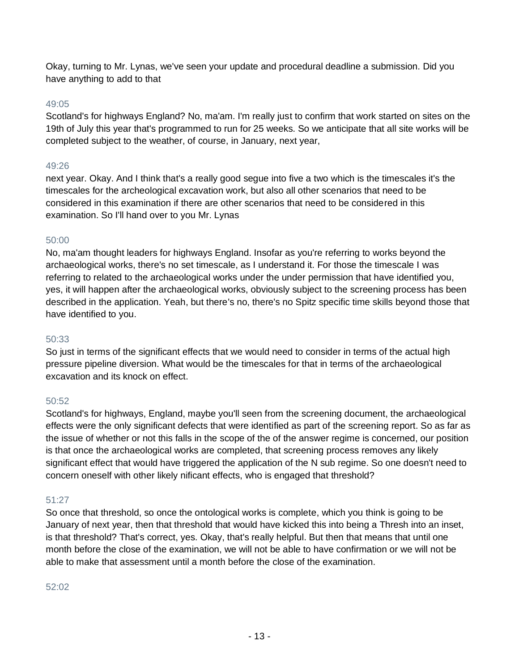Okay, turning to Mr. Lynas, we've seen your update and procedural deadline a submission. Did you have anything to add to that

## 49:05

Scotland's for highways England? No, ma'am. I'm really just to confirm that work started on sites on the 19th of July this year that's programmed to run for 25 weeks. So we anticipate that all site works will be completed subject to the weather, of course, in January, next year,

## 49:26

next year. Okay. And I think that's a really good segue into five a two which is the timescales it's the timescales for the archeological excavation work, but also all other scenarios that need to be considered in this examination if there are other scenarios that need to be considered in this examination. So I'll hand over to you Mr. Lynas

#### 50:00

No, ma'am thought leaders for highways England. Insofar as you're referring to works beyond the archaeological works, there's no set timescale, as I understand it. For those the timescale I was referring to related to the archaeological works under the under permission that have identified you, yes, it will happen after the archaeological works, obviously subject to the screening process has been described in the application. Yeah, but there's no, there's no Spitz specific time skills beyond those that have identified to you.

#### 50:33

So just in terms of the significant effects that we would need to consider in terms of the actual high pressure pipeline diversion. What would be the timescales for that in terms of the archaeological excavation and its knock on effect.

## 50:52

Scotland's for highways, England, maybe you'll seen from the screening document, the archaeological effects were the only significant defects that were identified as part of the screening report. So as far as the issue of whether or not this falls in the scope of the of the answer regime is concerned, our position is that once the archaeological works are completed, that screening process removes any likely significant effect that would have triggered the application of the N sub regime. So one doesn't need to concern oneself with other likely nificant effects, who is engaged that threshold?

## 51:27

So once that threshold, so once the ontological works is complete, which you think is going to be January of next year, then that threshold that would have kicked this into being a Thresh into an inset, is that threshold? That's correct, yes. Okay, that's really helpful. But then that means that until one month before the close of the examination, we will not be able to have confirmation or we will not be able to make that assessment until a month before the close of the examination.

#### 52:02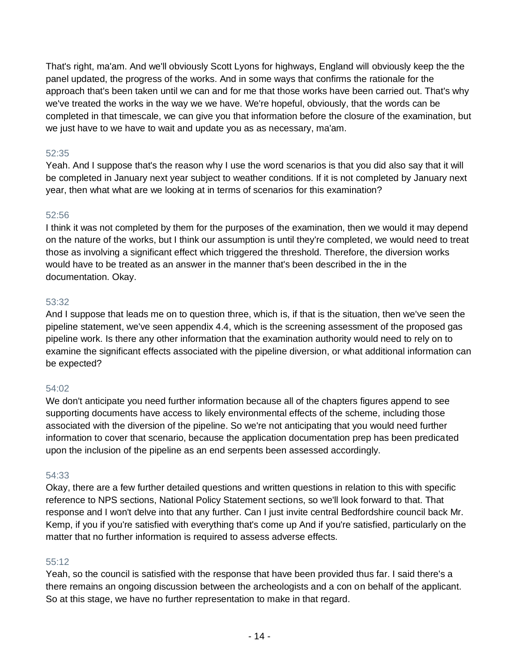That's right, ma'am. And we'll obviously Scott Lyons for highways, England will obviously keep the the panel updated, the progress of the works. And in some ways that confirms the rationale for the approach that's been taken until we can and for me that those works have been carried out. That's why we've treated the works in the way we we have. We're hopeful, obviously, that the words can be completed in that timescale, we can give you that information before the closure of the examination, but we just have to we have to wait and update you as as necessary, ma'am.

# 52:35

Yeah. And I suppose that's the reason why I use the word scenarios is that you did also say that it will be completed in January next year subject to weather conditions. If it is not completed by January next year, then what what are we looking at in terms of scenarios for this examination?

# 52:56

I think it was not completed by them for the purposes of the examination, then we would it may depend on the nature of the works, but I think our assumption is until they're completed, we would need to treat those as involving a significant effect which triggered the threshold. Therefore, the diversion works would have to be treated as an answer in the manner that's been described in the in the documentation. Okay.

# 53:32

And I suppose that leads me on to question three, which is, if that is the situation, then we've seen the pipeline statement, we've seen appendix 4.4, which is the screening assessment of the proposed gas pipeline work. Is there any other information that the examination authority would need to rely on to examine the significant effects associated with the pipeline diversion, or what additional information can be expected?

# 54:02

We don't anticipate you need further information because all of the chapters figures append to see supporting documents have access to likely environmental effects of the scheme, including those associated with the diversion of the pipeline. So we're not anticipating that you would need further information to cover that scenario, because the application documentation prep has been predicated upon the inclusion of the pipeline as an end serpents been assessed accordingly.

# 54:33

Okay, there are a few further detailed questions and written questions in relation to this with specific reference to NPS sections, National Policy Statement sections, so we'll look forward to that. That response and I won't delve into that any further. Can I just invite central Bedfordshire council back Mr. Kemp, if you if you're satisfied with everything that's come up And if you're satisfied, particularly on the matter that no further information is required to assess adverse effects.

# 55:12

Yeah, so the council is satisfied with the response that have been provided thus far. I said there's a there remains an ongoing discussion between the archeologists and a con on behalf of the applicant. So at this stage, we have no further representation to make in that regard.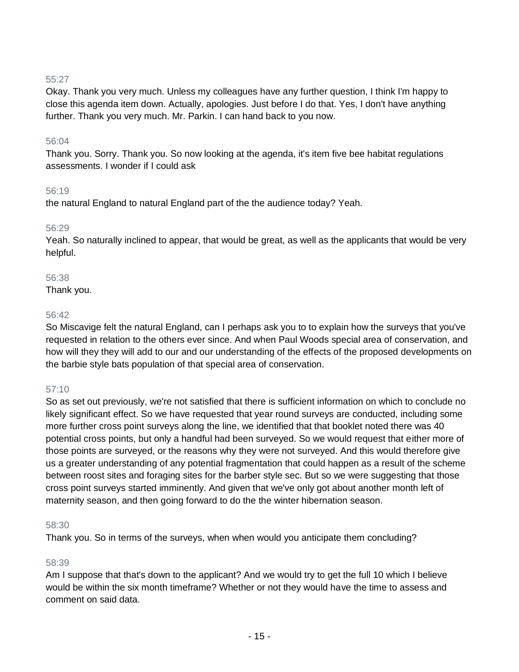# 55:27

Okay. Thank you very much. Unless my colleagues have any further question, I think I'm happy to close this agenda item down. Actually, apologies. Just before I do that. Yes, I don't have anything further. Thank you very much. Mr. Parkin. I can hand back to you now.

## 56:04

Thank you. Sorry. Thank you. So now looking at the agenda, it's item five bee habitat regulations assessments. I wonder if I could ask

#### 56:19

the natural England to natural England part of the the audience today? Yeah.

#### 56:29

Yeah. So naturally inclined to appear, that would be great, as well as the applicants that would be very helpful.

#### 56:38

Thank you.

#### 56:42

So Miscavige felt the natural England, can I perhaps ask you to to explain how the surveys that you've requested in relation to the others ever since. And when Paul Woods special area of conservation, and how will they they will add to our and our understanding of the effects of the proposed developments on the barbie style bats population of that special area of conservation.

## 57:10

So as set out previously, we're not satisfied that there is sufficient information on which to conclude no likely significant effect. So we have requested that year round surveys are conducted, including some more further cross point surveys along the line, we identified that that booklet noted there was 40 potential cross points, but only a handful had been surveyed. So we would request that either more of those points are surveyed, or the reasons why they were not surveyed. And this would therefore give us a greater understanding of any potential fragmentation that could happen as a result of the scheme between roost sites and foraging sites for the barber style sec. But so we were suggesting that those cross point surveys started imminently. And given that we've only got about another month left of maternity season, and then going forward to do the the winter hibernation season.

#### 58:30

Thank you. So in terms of the surveys, when when would you anticipate them concluding?

## 58:39

Am I suppose that that's down to the applicant? And we would try to get the full 10 which I believe would be within the six month timeframe? Whether or not they would have the time to assess and comment on said data.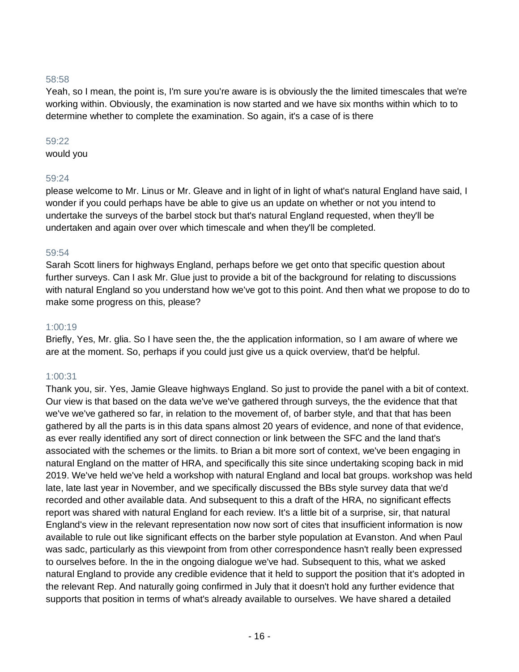## 58:58

Yeah, so I mean, the point is, I'm sure you're aware is is obviously the the limited timescales that we're working within. Obviously, the examination is now started and we have six months within which to to determine whether to complete the examination. So again, it's a case of is there

#### 59:22

would you

## 59:24

please welcome to Mr. Linus or Mr. Gleave and in light of in light of what's natural England have said, I wonder if you could perhaps have be able to give us an update on whether or not you intend to undertake the surveys of the barbel stock but that's natural England requested, when they'll be undertaken and again over over which timescale and when they'll be completed.

# 59:54

Sarah Scott liners for highways England, perhaps before we get onto that specific question about further surveys. Can I ask Mr. Glue just to provide a bit of the background for relating to discussions with natural England so you understand how we've got to this point. And then what we propose to do to make some progress on this, please?

# 1:00:19

Briefly, Yes, Mr. glia. So I have seen the, the the application information, so I am aware of where we are at the moment. So, perhaps if you could just give us a quick overview, that'd be helpful.

# 1:00:31

Thank you, sir. Yes, Jamie Gleave highways England. So just to provide the panel with a bit of context. Our view is that based on the data we've we've gathered through surveys, the the evidence that that we've we've gathered so far, in relation to the movement of, of barber style, and that that has been gathered by all the parts is in this data spans almost 20 years of evidence, and none of that evidence, as ever really identified any sort of direct connection or link between the SFC and the land that's associated with the schemes or the limits. to Brian a bit more sort of context, we've been engaging in natural England on the matter of HRA, and specifically this site since undertaking scoping back in mid 2019. We've held we've held a workshop with natural England and local bat groups. workshop was held late, late last year in November, and we specifically discussed the BBs style survey data that we'd recorded and other available data. And subsequent to this a draft of the HRA, no significant effects report was shared with natural England for each review. It's a little bit of a surprise, sir, that natural England's view in the relevant representation now now sort of cites that insufficient information is now available to rule out like significant effects on the barber style population at Evanston. And when Paul was sadc, particularly as this viewpoint from from other correspondence hasn't really been expressed to ourselves before. In the in the ongoing dialogue we've had. Subsequent to this, what we asked natural England to provide any credible evidence that it held to support the position that it's adopted in the relevant Rep. And naturally going confirmed in July that it doesn't hold any further evidence that supports that position in terms of what's already available to ourselves. We have shared a detailed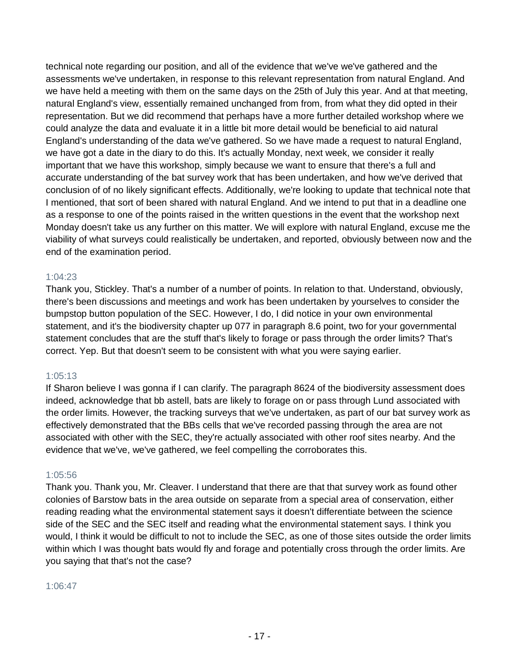technical note regarding our position, and all of the evidence that we've we've gathered and the assessments we've undertaken, in response to this relevant representation from natural England. And we have held a meeting with them on the same days on the 25th of July this year. And at that meeting, natural England's view, essentially remained unchanged from from, from what they did opted in their representation. But we did recommend that perhaps have a more further detailed workshop where we could analyze the data and evaluate it in a little bit more detail would be beneficial to aid natural England's understanding of the data we've gathered. So we have made a request to natural England, we have got a date in the diary to do this. It's actually Monday, next week, we consider it really important that we have this workshop, simply because we want to ensure that there's a full and accurate understanding of the bat survey work that has been undertaken, and how we've derived that conclusion of of no likely significant effects. Additionally, we're looking to update that technical note that I mentioned, that sort of been shared with natural England. And we intend to put that in a deadline one as a response to one of the points raised in the written questions in the event that the workshop next Monday doesn't take us any further on this matter. We will explore with natural England, excuse me the viability of what surveys could realistically be undertaken, and reported, obviously between now and the end of the examination period.

# 1:04:23

Thank you, Stickley. That's a number of a number of points. In relation to that. Understand, obviously, there's been discussions and meetings and work has been undertaken by yourselves to consider the bumpstop button population of the SEC. However, I do, I did notice in your own environmental statement, and it's the biodiversity chapter up 077 in paragraph 8.6 point, two for your governmental statement concludes that are the stuff that's likely to forage or pass through the order limits? That's correct. Yep. But that doesn't seem to be consistent with what you were saying earlier.

# 1:05:13

If Sharon believe I was gonna if I can clarify. The paragraph 8624 of the biodiversity assessment does indeed, acknowledge that bb astell, bats are likely to forage on or pass through Lund associated with the order limits. However, the tracking surveys that we've undertaken, as part of our bat survey work as effectively demonstrated that the BBs cells that we've recorded passing through the area are not associated with other with the SEC, they're actually associated with other roof sites nearby. And the evidence that we've, we've gathered, we feel compelling the corroborates this.

## 1:05:56

Thank you. Thank you, Mr. Cleaver. I understand that there are that that survey work as found other colonies of Barstow bats in the area outside on separate from a special area of conservation, either reading reading what the environmental statement says it doesn't differentiate between the science side of the SEC and the SEC itself and reading what the environmental statement says. I think you would, I think it would be difficult to not to include the SEC, as one of those sites outside the order limits within which I was thought bats would fly and forage and potentially cross through the order limits. Are you saying that that's not the case?

## 1:06:47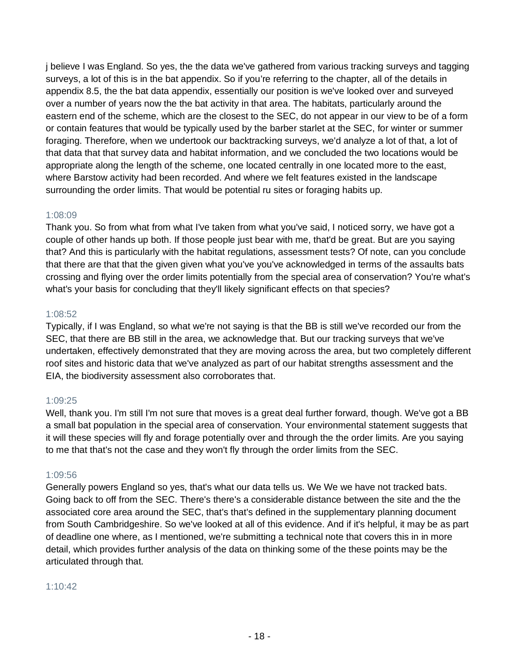j believe I was England. So yes, the the data we've gathered from various tracking surveys and tagging surveys, a lot of this is in the bat appendix. So if you're referring to the chapter, all of the details in appendix 8.5, the the bat data appendix, essentially our position is we've looked over and surveyed over a number of years now the the bat activity in that area. The habitats, particularly around the eastern end of the scheme, which are the closest to the SEC, do not appear in our view to be of a form or contain features that would be typically used by the barber starlet at the SEC, for winter or summer foraging. Therefore, when we undertook our backtracking surveys, we'd analyze a lot of that, a lot of that data that that survey data and habitat information, and we concluded the two locations would be appropriate along the length of the scheme, one located centrally in one located more to the east, where Barstow activity had been recorded. And where we felt features existed in the landscape surrounding the order limits. That would be potential ru sites or foraging habits up.

# 1:08:09

Thank you. So from what from what I've taken from what you've said, I noticed sorry, we have got a couple of other hands up both. If those people just bear with me, that'd be great. But are you saying that? And this is particularly with the habitat regulations, assessment tests? Of note, can you conclude that there are that that the given given what you've you've acknowledged in terms of the assaults bats crossing and flying over the order limits potentially from the special area of conservation? You're what's what's your basis for concluding that they'll likely significant effects on that species?

## 1:08:52

Typically, if I was England, so what we're not saying is that the BB is still we've recorded our from the SEC, that there are BB still in the area, we acknowledge that. But our tracking surveys that we've undertaken, effectively demonstrated that they are moving across the area, but two completely different roof sites and historic data that we've analyzed as part of our habitat strengths assessment and the EIA, the biodiversity assessment also corroborates that.

# 1:09:25

Well, thank you. I'm still I'm not sure that moves is a great deal further forward, though. We've got a BB a small bat population in the special area of conservation. Your environmental statement suggests that it will these species will fly and forage potentially over and through the the order limits. Are you saying to me that that's not the case and they won't fly through the order limits from the SEC.

# 1:09:56

Generally powers England so yes, that's what our data tells us. We We we have not tracked bats. Going back to off from the SEC. There's there's a considerable distance between the site and the the associated core area around the SEC, that's that's defined in the supplementary planning document from South Cambridgeshire. So we've looked at all of this evidence. And if it's helpful, it may be as part of deadline one where, as I mentioned, we're submitting a technical note that covers this in in more detail, which provides further analysis of the data on thinking some of the these points may be the articulated through that.

## 1:10:42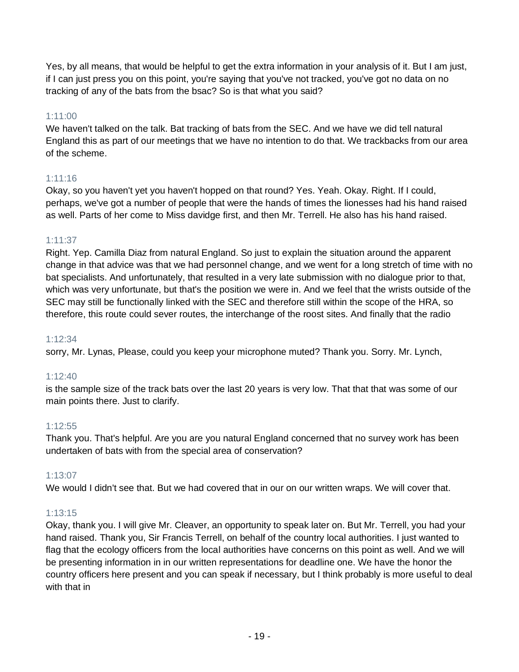Yes, by all means, that would be helpful to get the extra information in your analysis of it. But I am just, if I can just press you on this point, you're saying that you've not tracked, you've got no data on no tracking of any of the bats from the bsac? So is that what you said?

# 1:11:00

We haven't talked on the talk. Bat tracking of bats from the SEC. And we have we did tell natural England this as part of our meetings that we have no intention to do that. We trackbacks from our area of the scheme.

# 1:11:16

Okay, so you haven't yet you haven't hopped on that round? Yes. Yeah. Okay. Right. If I could, perhaps, we've got a number of people that were the hands of times the lionesses had his hand raised as well. Parts of her come to Miss davidge first, and then Mr. Terrell. He also has his hand raised.

# 1:11:37

Right. Yep. Camilla Diaz from natural England. So just to explain the situation around the apparent change in that advice was that we had personnel change, and we went for a long stretch of time with no bat specialists. And unfortunately, that resulted in a very late submission with no dialogue prior to that, which was very unfortunate, but that's the position we were in. And we feel that the wrists outside of the SEC may still be functionally linked with the SEC and therefore still within the scope of the HRA, so therefore, this route could sever routes, the interchange of the roost sites. And finally that the radio

# 1:12:34

sorry, Mr. Lynas, Please, could you keep your microphone muted? Thank you. Sorry. Mr. Lynch,

# 1:12:40

is the sample size of the track bats over the last 20 years is very low. That that that was some of our main points there. Just to clarify.

# 1:12:55

Thank you. That's helpful. Are you are you natural England concerned that no survey work has been undertaken of bats with from the special area of conservation?

# 1:13:07

We would I didn't see that. But we had covered that in our on our written wraps. We will cover that.

# 1:13:15

Okay, thank you. I will give Mr. Cleaver, an opportunity to speak later on. But Mr. Terrell, you had your hand raised. Thank you, Sir Francis Terrell, on behalf of the country local authorities. I just wanted to flag that the ecology officers from the local authorities have concerns on this point as well. And we will be presenting information in in our written representations for deadline one. We have the honor the country officers here present and you can speak if necessary, but I think probably is more useful to deal with that in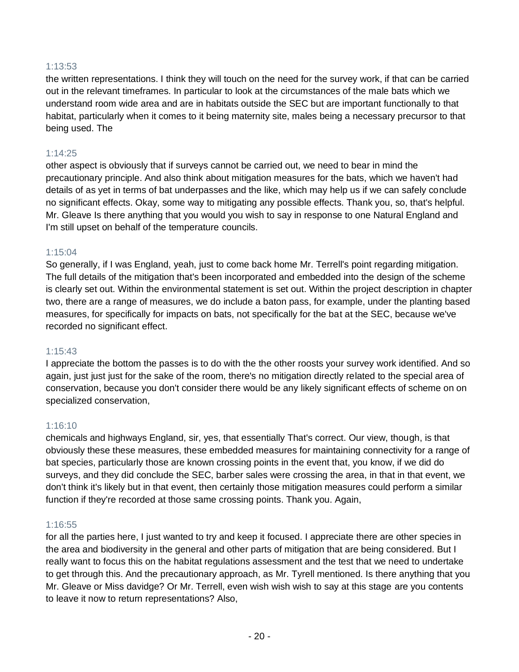# 1:13:53

the written representations. I think they will touch on the need for the survey work, if that can be carried out in the relevant timeframes. In particular to look at the circumstances of the male bats which we understand room wide area and are in habitats outside the SEC but are important functionally to that habitat, particularly when it comes to it being maternity site, males being a necessary precursor to that being used. The

# 1:14:25

other aspect is obviously that if surveys cannot be carried out, we need to bear in mind the precautionary principle. And also think about mitigation measures for the bats, which we haven't had details of as yet in terms of bat underpasses and the like, which may help us if we can safely conclude no significant effects. Okay, some way to mitigating any possible effects. Thank you, so, that's helpful. Mr. Gleave Is there anything that you would you wish to say in response to one Natural England and I'm still upset on behalf of the temperature councils.

# 1:15:04

So generally, if I was England, yeah, just to come back home Mr. Terrell's point regarding mitigation. The full details of the mitigation that's been incorporated and embedded into the design of the scheme is clearly set out. Within the environmental statement is set out. Within the project description in chapter two, there are a range of measures, we do include a baton pass, for example, under the planting based measures, for specifically for impacts on bats, not specifically for the bat at the SEC, because we've recorded no significant effect.

## 1:15:43

I appreciate the bottom the passes is to do with the the other roosts your survey work identified. And so again, just just just for the sake of the room, there's no mitigation directly related to the special area of conservation, because you don't consider there would be any likely significant effects of scheme on on specialized conservation,

## 1:16:10

chemicals and highways England, sir, yes, that essentially That's correct. Our view, though, is that obviously these these measures, these embedded measures for maintaining connectivity for a range of bat species, particularly those are known crossing points in the event that, you know, if we did do surveys, and they did conclude the SEC, barber sales were crossing the area, in that in that event, we don't think it's likely but in that event, then certainly those mitigation measures could perform a similar function if they're recorded at those same crossing points. Thank you. Again,

## 1:16:55

for all the parties here, I just wanted to try and keep it focused. I appreciate there are other species in the area and biodiversity in the general and other parts of mitigation that are being considered. But I really want to focus this on the habitat regulations assessment and the test that we need to undertake to get through this. And the precautionary approach, as Mr. Tyrell mentioned. Is there anything that you Mr. Gleave or Miss davidge? Or Mr. Terrell, even wish wish wish to say at this stage are you contents to leave it now to return representations? Also,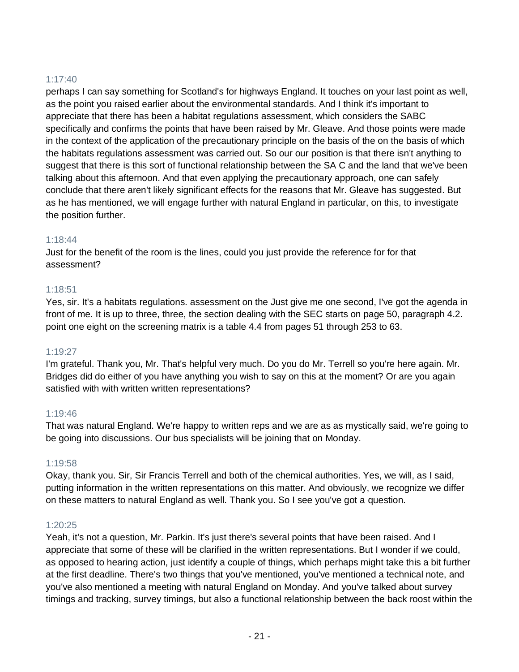# 1:17:40

perhaps I can say something for Scotland's for highways England. It touches on your last point as well, as the point you raised earlier about the environmental standards. And I think it's important to appreciate that there has been a habitat regulations assessment, which considers the SABC specifically and confirms the points that have been raised by Mr. Gleave. And those points were made in the context of the application of the precautionary principle on the basis of the on the basis of which the habitats regulations assessment was carried out. So our our position is that there isn't anything to suggest that there is this sort of functional relationship between the SA C and the land that we've been talking about this afternoon. And that even applying the precautionary approach, one can safely conclude that there aren't likely significant effects for the reasons that Mr. Gleave has suggested. But as he has mentioned, we will engage further with natural England in particular, on this, to investigate the position further.

# 1:18:44

Just for the benefit of the room is the lines, could you just provide the reference for for that assessment?

# 1:18:51

Yes, sir. It's a habitats regulations. assessment on the Just give me one second, I've got the agenda in front of me. It is up to three, three, the section dealing with the SEC starts on page 50, paragraph 4.2. point one eight on the screening matrix is a table 4.4 from pages 51 through 253 to 63.

## 1:19:27

I'm grateful. Thank you, Mr. That's helpful very much. Do you do Mr. Terrell so you're here again. Mr. Bridges did do either of you have anything you wish to say on this at the moment? Or are you again satisfied with with written written representations?

# 1:19:46

That was natural England. We're happy to written reps and we are as as mystically said, we're going to be going into discussions. Our bus specialists will be joining that on Monday.

## 1:19:58

Okay, thank you. Sir, Sir Francis Terrell and both of the chemical authorities. Yes, we will, as I said, putting information in the written representations on this matter. And obviously, we recognize we differ on these matters to natural England as well. Thank you. So I see you've got a question.

# 1:20:25

Yeah, it's not a question, Mr. Parkin. It's just there's several points that have been raised. And I appreciate that some of these will be clarified in the written representations. But I wonder if we could, as opposed to hearing action, just identify a couple of things, which perhaps might take this a bit further at the first deadline. There's two things that you've mentioned, you've mentioned a technical note, and you've also mentioned a meeting with natural England on Monday. And you've talked about survey timings and tracking, survey timings, but also a functional relationship between the back roost within the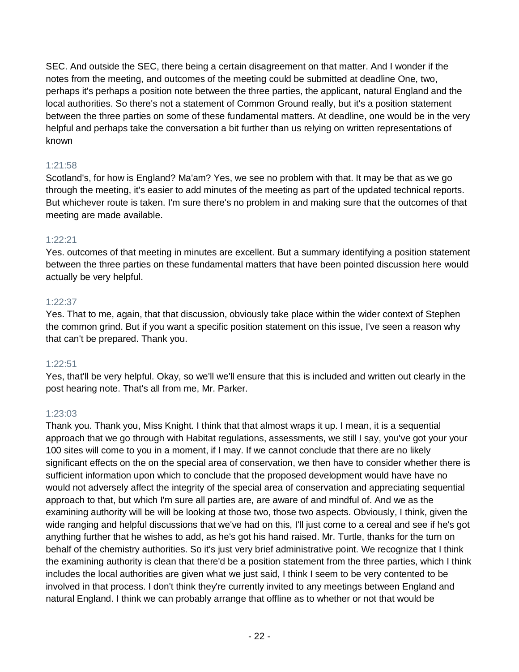SEC. And outside the SEC, there being a certain disagreement on that matter. And I wonder if the notes from the meeting, and outcomes of the meeting could be submitted at deadline One, two, perhaps it's perhaps a position note between the three parties, the applicant, natural England and the local authorities. So there's not a statement of Common Ground really, but it's a position statement between the three parties on some of these fundamental matters. At deadline, one would be in the very helpful and perhaps take the conversation a bit further than us relying on written representations of known

# 1:21:58

Scotland's, for how is England? Ma'am? Yes, we see no problem with that. It may be that as we go through the meeting, it's easier to add minutes of the meeting as part of the updated technical reports. But whichever route is taken. I'm sure there's no problem in and making sure that the outcomes of that meeting are made available.

# 1:22:21

Yes. outcomes of that meeting in minutes are excellent. But a summary identifying a position statement between the three parties on these fundamental matters that have been pointed discussion here would actually be very helpful.

# 1:22:37

Yes. That to me, again, that that discussion, obviously take place within the wider context of Stephen the common grind. But if you want a specific position statement on this issue, I've seen a reason why that can't be prepared. Thank you.

# 1:22:51

Yes, that'll be very helpful. Okay, so we'll we'll ensure that this is included and written out clearly in the post hearing note. That's all from me, Mr. Parker.

# 1:23:03

Thank you. Thank you, Miss Knight. I think that that almost wraps it up. I mean, it is a sequential approach that we go through with Habitat regulations, assessments, we still I say, you've got your your 100 sites will come to you in a moment, if I may. If we cannot conclude that there are no likely significant effects on the on the special area of conservation, we then have to consider whether there is sufficient information upon which to conclude that the proposed development would have have no would not adversely affect the integrity of the special area of conservation and appreciating sequential approach to that, but which I'm sure all parties are, are aware of and mindful of. And we as the examining authority will be will be looking at those two, those two aspects. Obviously, I think, given the wide ranging and helpful discussions that we've had on this, I'll just come to a cereal and see if he's got anything further that he wishes to add, as he's got his hand raised. Mr. Turtle, thanks for the turn on behalf of the chemistry authorities. So it's just very brief administrative point. We recognize that I think the examining authority is clean that there'd be a position statement from the three parties, which I think includes the local authorities are given what we just said, I think I seem to be very contented to be involved in that process. I don't think they're currently invited to any meetings between England and natural England. I think we can probably arrange that offline as to whether or not that would be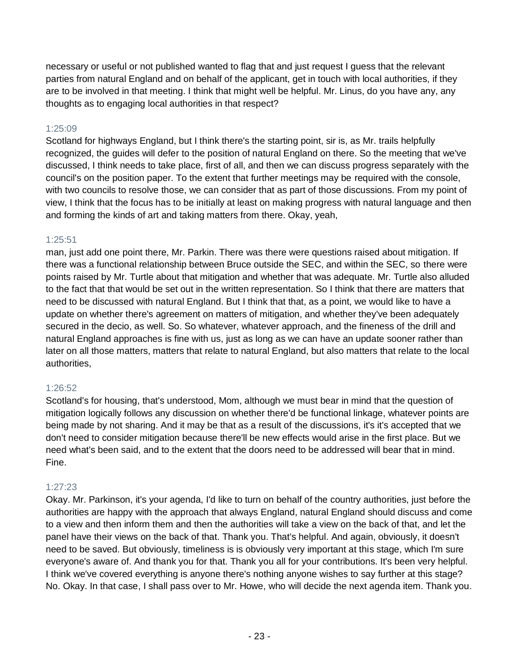necessary or useful or not published wanted to flag that and just request I guess that the relevant parties from natural England and on behalf of the applicant, get in touch with local authorities, if they are to be involved in that meeting. I think that might well be helpful. Mr. Linus, do you have any, any thoughts as to engaging local authorities in that respect?

# 1:25:09

Scotland for highways England, but I think there's the starting point, sir is, as Mr. trails helpfully recognized, the guides will defer to the position of natural England on there. So the meeting that we've discussed, I think needs to take place, first of all, and then we can discuss progress separately with the council's on the position paper. To the extent that further meetings may be required with the console, with two councils to resolve those, we can consider that as part of those discussions. From my point of view, I think that the focus has to be initially at least on making progress with natural language and then and forming the kinds of art and taking matters from there. Okay, yeah,

# 1:25:51

man, just add one point there, Mr. Parkin. There was there were questions raised about mitigation. If there was a functional relationship between Bruce outside the SEC, and within the SEC, so there were points raised by Mr. Turtle about that mitigation and whether that was adequate. Mr. Turtle also alluded to the fact that that would be set out in the written representation. So I think that there are matters that need to be discussed with natural England. But I think that that, as a point, we would like to have a update on whether there's agreement on matters of mitigation, and whether they've been adequately secured in the decio, as well. So. So whatever, whatever approach, and the fineness of the drill and natural England approaches is fine with us, just as long as we can have an update sooner rather than later on all those matters, matters that relate to natural England, but also matters that relate to the local authorities,

# 1:26:52

Scotland's for housing, that's understood, Mom, although we must bear in mind that the question of mitigation logically follows any discussion on whether there'd be functional linkage, whatever points are being made by not sharing. And it may be that as a result of the discussions, it's it's accepted that we don't need to consider mitigation because there'll be new effects would arise in the first place. But we need what's been said, and to the extent that the doors need to be addressed will bear that in mind. Fine.

# 1:27:23

Okay. Mr. Parkinson, it's your agenda, I'd like to turn on behalf of the country authorities, just before the authorities are happy with the approach that always England, natural England should discuss and come to a view and then inform them and then the authorities will take a view on the back of that, and let the panel have their views on the back of that. Thank you. That's helpful. And again, obviously, it doesn't need to be saved. But obviously, timeliness is is obviously very important at this stage, which I'm sure everyone's aware of. And thank you for that. Thank you all for your contributions. It's been very helpful. I think we've covered everything is anyone there's nothing anyone wishes to say further at this stage? No. Okay. In that case, I shall pass over to Mr. Howe, who will decide the next agenda item. Thank you.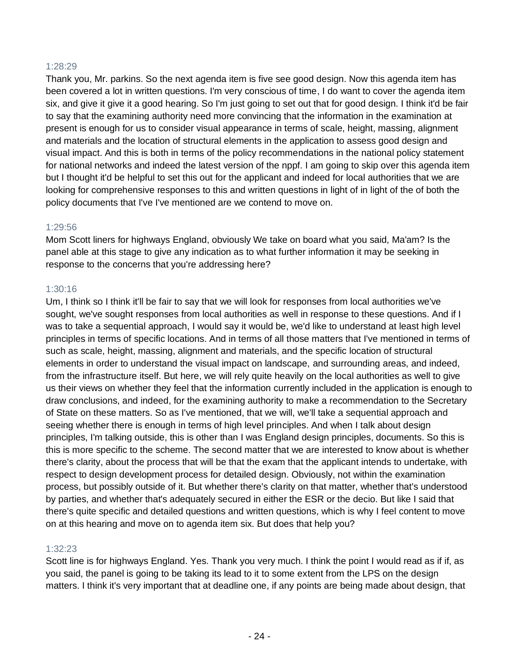## 1:28:29

Thank you, Mr. parkins. So the next agenda item is five see good design. Now this agenda item has been covered a lot in written questions. I'm very conscious of time, I do want to cover the agenda item six, and give it give it a good hearing. So I'm just going to set out that for good design. I think it'd be fair to say that the examining authority need more convincing that the information in the examination at present is enough for us to consider visual appearance in terms of scale, height, massing, alignment and materials and the location of structural elements in the application to assess good design and visual impact. And this is both in terms of the policy recommendations in the national policy statement for national networks and indeed the latest version of the nppf. I am going to skip over this agenda item but I thought it'd be helpful to set this out for the applicant and indeed for local authorities that we are looking for comprehensive responses to this and written questions in light of in light of the of both the policy documents that I've I've mentioned are we contend to move on.

#### 1:29:56

Mom Scott liners for highways England, obviously We take on board what you said, Ma'am? Is the panel able at this stage to give any indication as to what further information it may be seeking in response to the concerns that you're addressing here?

#### 1:30:16

Um, I think so I think it'll be fair to say that we will look for responses from local authorities we've sought, we've sought responses from local authorities as well in response to these questions. And if I was to take a sequential approach, I would say it would be, we'd like to understand at least high level principles in terms of specific locations. And in terms of all those matters that I've mentioned in terms of such as scale, height, massing, alignment and materials, and the specific location of structural elements in order to understand the visual impact on landscape, and surrounding areas, and indeed, from the infrastructure itself. But here, we will rely quite heavily on the local authorities as well to give us their views on whether they feel that the information currently included in the application is enough to draw conclusions, and indeed, for the examining authority to make a recommendation to the Secretary of State on these matters. So as I've mentioned, that we will, we'll take a sequential approach and seeing whether there is enough in terms of high level principles. And when I talk about design principles, I'm talking outside, this is other than I was England design principles, documents. So this is this is more specific to the scheme. The second matter that we are interested to know about is whether there's clarity, about the process that will be that the exam that the applicant intends to undertake, with respect to design development process for detailed design. Obviously, not within the examination process, but possibly outside of it. But whether there's clarity on that matter, whether that's understood by parties, and whether that's adequately secured in either the ESR or the decio. But like I said that there's quite specific and detailed questions and written questions, which is why I feel content to move on at this hearing and move on to agenda item six. But does that help you?

#### 1:32:23

Scott line is for highways England. Yes. Thank you very much. I think the point I would read as if if, as you said, the panel is going to be taking its lead to it to some extent from the LPS on the design matters. I think it's very important that at deadline one, if any points are being made about design, that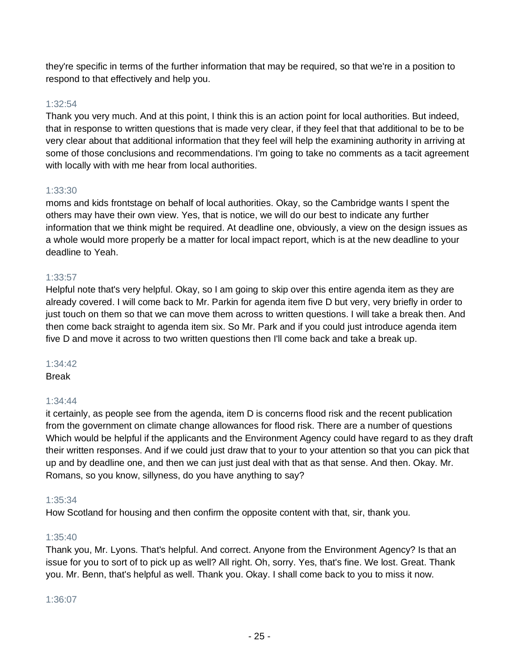they're specific in terms of the further information that may be required, so that we're in a position to respond to that effectively and help you.

## 1:32:54

Thank you very much. And at this point, I think this is an action point for local authorities. But indeed, that in response to written questions that is made very clear, if they feel that that additional to be to be very clear about that additional information that they feel will help the examining authority in arriving at some of those conclusions and recommendations. I'm going to take no comments as a tacit agreement with locally with with me hear from local authorities.

## 1:33:30

moms and kids frontstage on behalf of local authorities. Okay, so the Cambridge wants I spent the others may have their own view. Yes, that is notice, we will do our best to indicate any further information that we think might be required. At deadline one, obviously, a view on the design issues as a whole would more properly be a matter for local impact report, which is at the new deadline to your deadline to Yeah.

## 1:33:57

Helpful note that's very helpful. Okay, so I am going to skip over this entire agenda item as they are already covered. I will come back to Mr. Parkin for agenda item five D but very, very briefly in order to just touch on them so that we can move them across to written questions. I will take a break then. And then come back straight to agenda item six. So Mr. Park and if you could just introduce agenda item five D and move it across to two written questions then I'll come back and take a break up.

#### 1:34:42

Break

## 1:34:44

it certainly, as people see from the agenda, item D is concerns flood risk and the recent publication from the government on climate change allowances for flood risk. There are a number of questions Which would be helpful if the applicants and the Environment Agency could have regard to as they draft their written responses. And if we could just draw that to your to your attention so that you can pick that up and by deadline one, and then we can just just deal with that as that sense. And then. Okay. Mr. Romans, so you know, sillyness, do you have anything to say?

#### 1:35:34

How Scotland for housing and then confirm the opposite content with that, sir, thank you.

#### 1:35:40

Thank you, Mr. Lyons. That's helpful. And correct. Anyone from the Environment Agency? Is that an issue for you to sort of to pick up as well? All right. Oh, sorry. Yes, that's fine. We lost. Great. Thank you. Mr. Benn, that's helpful as well. Thank you. Okay. I shall come back to you to miss it now.

#### 1:36:07